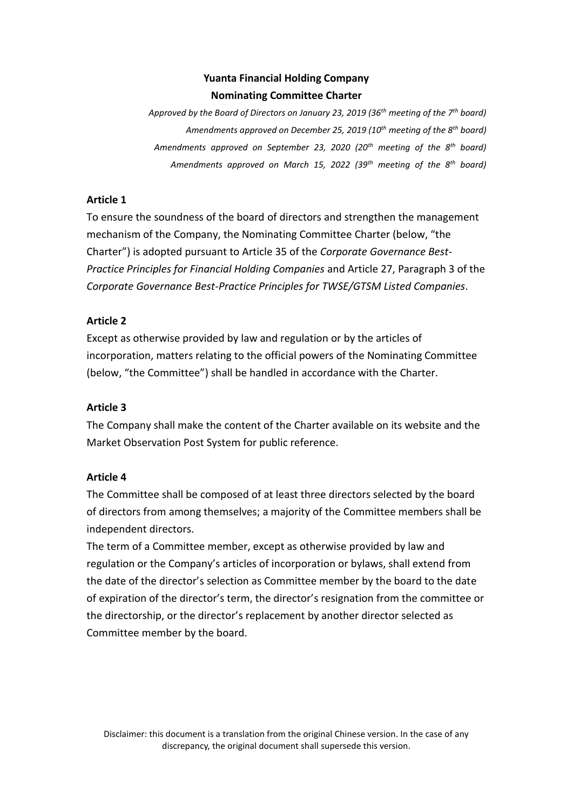# **Yuanta Financial Holding Company Nominating Committee Charter**

*Approved by the Board of Directors on January 23, 2019 (36th meeting of the 7th board) Amendments approved on December 25, 2019 (10th meeting of the 8th board) Amendments approved on September 23, 2020 (20th meeting of the 8th board) Amendments approved on March 15, 2022 (39th meeting of the 8th board)*

# **Article 1**

To ensure the soundness of the board of directors and strengthen the management mechanism of the Company, the Nominating Committee Charter (below, "the Charter") is adopted pursuant to Article 35 of the *Corporate Governance Best-Practice Principles for Financial Holding Companies* and Article 27, Paragraph 3 of the *Corporate Governance Best-Practice Principles for TWSE/GTSM Listed Companies*.

# **Article 2**

Except as otherwise provided by law and regulation or by the articles of incorporation, matters relating to the official powers of the Nominating Committee (below, "the Committee") shall be handled in accordance with the Charter.

# **Article 3**

The Company shall make the content of the Charter available on its website and the Market Observation Post System for public reference.

# **Article 4**

The Committee shall be composed of at least three directors selected by the board of directors from among themselves; a majority of the Committee members shall be independent directors.

The term of a Committee member, except as otherwise provided by law and regulation or the Company's articles of incorporation or bylaws, shall extend from the date of the director's selection as Committee member by the board to the date of expiration of the director's term, the director's resignation from the committee or the directorship, or the director's replacement by another director selected as Committee member by the board.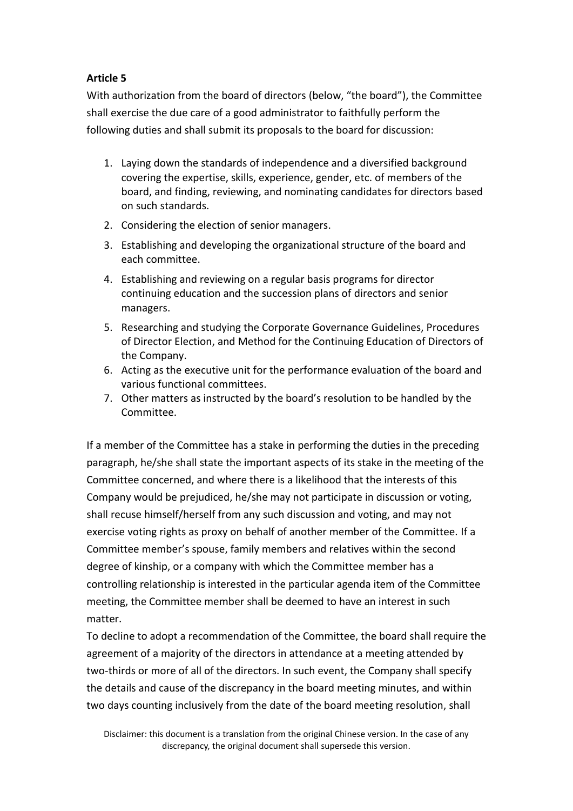# **Article 5**

With authorization from the board of directors (below, "the board"), the Committee shall exercise the due care of a good administrator to faithfully perform the following duties and shall submit its proposals to the board for discussion:

- 1. Laying down the standards of independence and a diversified background covering the expertise, skills, experience, gender, etc. of members of the board, and finding, reviewing, and nominating candidates for directors based on such standards.
- 2. Considering the election of senior managers.
- 3. Establishing and developing the organizational structure of the board and each committee.
- 4. Establishing and reviewing on a regular basis programs for director continuing education and the succession plans of directors and senior managers.
- 5. Researching and studying the Corporate Governance Guidelines, Procedures of Director Election, and Method for the Continuing Education of Directors of the Company.
- 6. Acting as the executive unit for the performance evaluation of the board and various functional committees.
- 7. Other matters as instructed by the board's resolution to be handled by the Committee.

If a member of the Committee has a stake in performing the duties in the preceding paragraph, he/she shall state the important aspects of its stake in the meeting of the Committee concerned, and where there is a likelihood that the interests of this Company would be prejudiced, he/she may not participate in discussion or voting, shall recuse himself/herself from any such discussion and voting, and may not exercise voting rights as proxy on behalf of another member of the Committee. If a Committee member's spouse, family members and relatives within the second degree of kinship, or a company with which the Committee member has a controlling relationship is interested in the particular agenda item of the Committee meeting, the Committee member shall be deemed to have an interest in such matter.

To decline to adopt a recommendation of the Committee, the board shall require the agreement of a majority of the directors in attendance at a meeting attended by two-thirds or more of all of the directors. In such event, the Company shall specify the details and cause of the discrepancy in the board meeting minutes, and within two days counting inclusively from the date of the board meeting resolution, shall

Disclaimer: this document is a translation from the original Chinese version. In the case of any discrepancy, the original document shall supersede this version.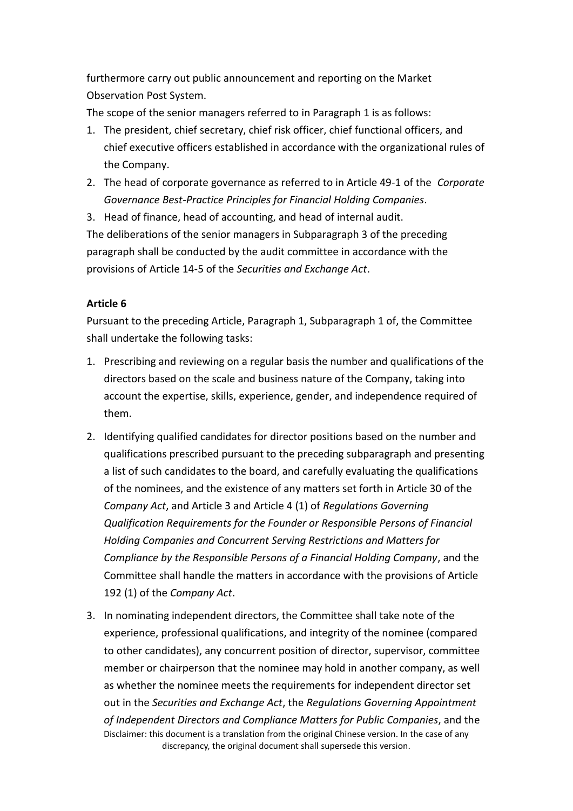furthermore carry out public announcement and reporting on the Market Observation Post System.

The scope of the senior managers referred to in Paragraph 1 is as follows:

- 1. The president, chief secretary, chief risk officer, chief functional officers, and chief executive officers established in accordance with the organizational rules of the Company.
- 2. The head of corporate governance as referred to in Article 49-1 of the *Corporate Governance Best-Practice Principles for Financial Holding Companies*.
- 3. Head of finance, head of accounting, and head of internal audit.

The deliberations of the senior managers in Subparagraph 3 of the preceding paragraph shall be conducted by the audit committee in accordance with the provisions of Article 14-5 of the *Securities and Exchange Act*.

# **Article 6**

Pursuant to the preceding Article, Paragraph 1, Subparagraph 1 of, the Committee shall undertake the following tasks:

- 1. Prescribing and reviewing on a regular basis the number and qualifications of the directors based on the scale and business nature of the Company, taking into account the expertise, skills, experience, gender, and independence required of them.
- 2. Identifying qualified candidates for director positions based on the number and qualifications prescribed pursuant to the preceding subparagraph and presenting a list of such candidates to the board, and carefully evaluating the qualifications of the nominees, and the existence of any matters set forth in Article 30 of the *Company Act*, and Article 3 and Article 4 (1) of *Regulations Governing Qualification Requirements for the Founder or Responsible Persons of Financial Holding Companies and Concurrent Serving Restrictions and Matters for Compliance by the Responsible Persons of a Financial Holding Company*, and the Committee shall handle the matters in accordance with the provisions of Article 192 (1) of the *Company Act*.
- Disclaimer: this document is a translation from the original Chinese version. In the case of any discrepancy, the original document shall supersede this version. 3. In nominating independent directors, the Committee shall take note of the experience, professional qualifications, and integrity of the nominee (compared to other candidates), any concurrent position of director, supervisor, committee member or chairperson that the nominee may hold in another company, as well as whether the nominee meets the requirements for independent director set out in the *Securities and Exchange Act*, the *Regulations Governing Appointment of Independent Directors and Compliance Matters for Public Companies*, and the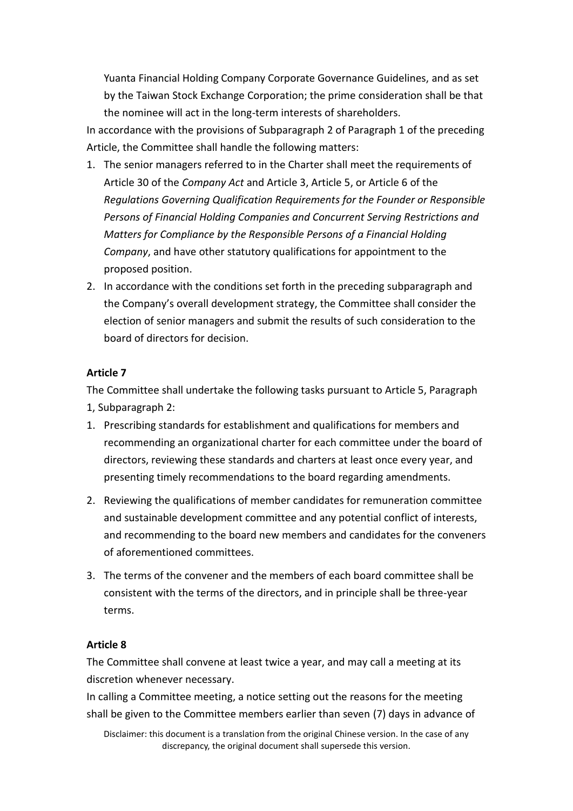Yuanta Financial Holding Company Corporate Governance Guidelines, and as set by the Taiwan Stock Exchange Corporation; the prime consideration shall be that the nominee will act in the long-term interests of shareholders.

In accordance with the provisions of Subparagraph 2 of Paragraph 1 of the preceding Article, the Committee shall handle the following matters:

- 1. The senior managers referred to in the Charter shall meet the requirements of Article 30 of the *Company Act* and Article 3, Article 5, or Article 6 of the *Regulations Governing Qualification Requirements for the Founder or Responsible Persons of Financial Holding Companies and Concurrent Serving Restrictions and Matters for Compliance by the Responsible Persons of a Financial Holding Company*, and have other statutory qualifications for appointment to the proposed position.
- 2. In accordance with the conditions set forth in the preceding subparagraph and the Company's overall development strategy, the Committee shall consider the election of senior managers and submit the results of such consideration to the board of directors for decision.

#### **Article 7**

The Committee shall undertake the following tasks pursuant to Article 5, Paragraph 1, Subparagraph 2:

- 1. Prescribing standards for establishment and qualifications for members and recommending an organizational charter for each committee under the board of directors, reviewing these standards and charters at least once every year, and presenting timely recommendations to the board regarding amendments.
- 2. Reviewing the qualifications of member candidates for remuneration committee and sustainable development committee and any potential conflict of interests, and recommending to the board new members and candidates for the conveners of aforementioned committees.
- 3. The terms of the convener and the members of each board committee shall be consistent with the terms of the directors, and in principle shall be three-year terms.

#### **Article 8**

The Committee shall convene at least twice a year, and may call a meeting at its discretion whenever necessary.

In calling a Committee meeting, a notice setting out the reasons for the meeting shall be given to the Committee members earlier than seven (7) days in advance of

Disclaimer: this document is a translation from the original Chinese version. In the case of any discrepancy, the original document shall supersede this version.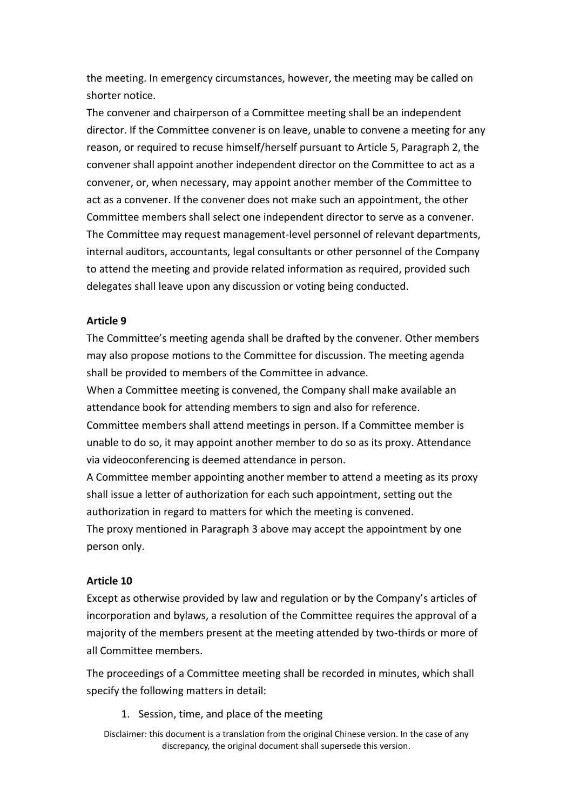the meeting. In emergency circumstances, however, the meeting may be called on shorter notice.

The convener and chairperson of a Committee meeting shall be an independent director. If the Committee convener is on leave, unable to convene a meeting for any reason, or required to recuse himself/herself pursuant to Article 5, Paragraph 2, the convener shall appoint another independent director on the Committee to act as a convener, or, when necessary, may appoint another member of the Committee to act as a convener. If the convener does not make such an appointment, the other Committee members shall select one independent director to serve as a convener. The Committee may request management-level personnel of relevant departments, internal auditors, accountants, legal consultants or other personnel of the Company to attend the meeting and provide related information as required, provided such delegates shall leave upon any discussion or voting being conducted.

### **Article 9**

The Committee's meeting agenda shall be drafted by the convener. Other members may also propose motions to the Committee for discussion. The meeting agenda shall be provided to members of the Committee in advance.

When a Committee meeting is convened, the Company shall make available an attendance book for attending members to sign and also for reference.

Committee members shall attend meetings in person. If a Committee member is unable to do so, it may appoint another member to do so as its proxy. Attendance via videoconferencing is deemed attendance in person.

A Committee member appointing another member to attend a meeting as its proxy shall issue a letter of authorization for each such appointment, setting out the authorization in regard to matters for which the meeting is convened. The proxy mentioned in Paragraph 3 above may accept the appointment by one person only.

### **Article 10**

Except as otherwise provided by law and regulation or by the Company's articles of incorporation and bylaws, a resolution of the Committee requires the approval of a majority of the members present at the meeting attended by two-thirds or more of all Committee members.

The proceedings of a Committee meeting shall be recorded in minutes, which shall specify the following matters in detail:

1. Session, time, and place of the meeting

Disclaimer: this document is a translation from the original Chinese version. In the case of any discrepancy, the original document shall supersede this version.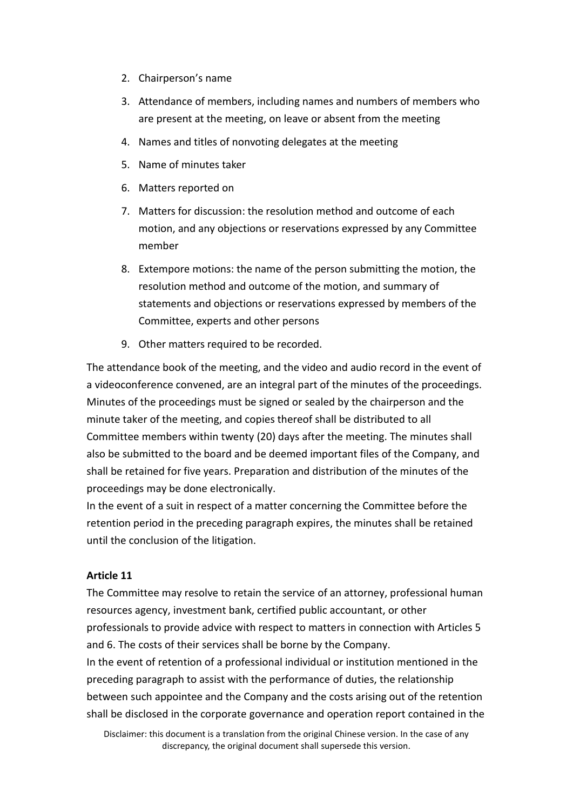- 2. Chairperson's name
- 3. Attendance of members, including names and numbers of members who are present at the meeting, on leave or absent from the meeting
- 4. Names and titles of nonvoting delegates at the meeting
- 5. Name of minutes taker
- 6. Matters reported on
- 7. Matters for discussion: the resolution method and outcome of each motion, and any objections or reservations expressed by any Committee member
- 8. Extempore motions: the name of the person submitting the motion, the resolution method and outcome of the motion, and summary of statements and objections or reservations expressed by members of the Committee, experts and other persons
- 9. Other matters required to be recorded.

The attendance book of the meeting, and the video and audio record in the event of a videoconference convened, are an integral part of the minutes of the proceedings. Minutes of the proceedings must be signed or sealed by the chairperson and the minute taker of the meeting, and copies thereof shall be distributed to all Committee members within twenty (20) days after the meeting. The minutes shall also be submitted to the board and be deemed important files of the Company, and shall be retained for five years. Preparation and distribution of the minutes of the proceedings may be done electronically.

In the event of a suit in respect of a matter concerning the Committee before the retention period in the preceding paragraph expires, the minutes shall be retained until the conclusion of the litigation.

### **Article 11**

The Committee may resolve to retain the service of an attorney, professional human resources agency, investment bank, certified public accountant, or other professionals to provide advice with respect to matters in connection with Articles 5 and 6. The costs of their services shall be borne by the Company. In the event of retention of a professional individual or institution mentioned in the preceding paragraph to assist with the performance of duties, the relationship

between such appointee and the Company and the costs arising out of the retention shall be disclosed in the corporate governance and operation report contained in the